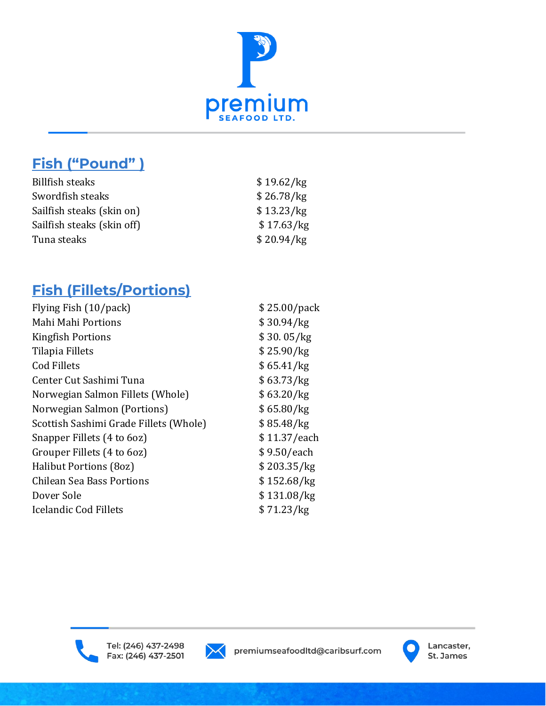

# **Fish ("Pound" )**

| \$19.62/kg |
|------------|
| \$26.78/kg |
| \$13.23/kg |
| \$17.63/kg |
| \$20.94/kg |
|            |

# **Fish (Fillets/Portions)**

| Flying Fish (10/pack)                  | \$25.00/pack |
|----------------------------------------|--------------|
| Mahi Mahi Portions                     | \$30.94/kg   |
| <b>Kingfish Portions</b>               | \$30.05/kg   |
| Tilapia Fillets                        | \$25.90/kg   |
| <b>Cod Fillets</b>                     | \$65.41/kg   |
| Center Cut Sashimi Tuna                | \$63.73/kg   |
| Norwegian Salmon Fillets (Whole)       | \$63.20/kg   |
| Norwegian Salmon (Portions)            | \$65.80/kg   |
| Scottish Sashimi Grade Fillets (Whole) | \$85.48/kg   |
| Snapper Fillets (4 to 6oz)             | \$11.37/each |
| Grouper Fillets (4 to 6oz)             | \$9.50/each  |
| Halibut Portions (80z)                 | \$203.35/kg  |
| Chilean Sea Bass Portions              | \$152.68/kg  |
| Dover Sole                             | \$131.08/kg  |
| <b>Icelandic Cod Fillets</b>           | \$71.23/kg   |
|                                        |              |





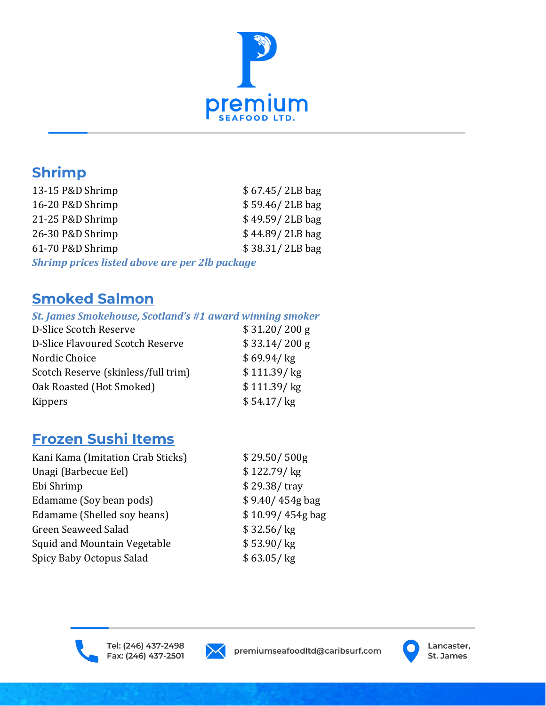

# **Shrimp**

| 13-15 P&D Shrimp                                      | $$67.45/2LB$ bag |
|-------------------------------------------------------|------------------|
| 16-20 P&D Shrimp                                      | \$59.46/2LB bag  |
| 21-25 P&D Shrimp                                      | \$49.59/2LB bag  |
| 26-30 P&D Shrimp                                      | \$44.89/2LB bag  |
| 61-70 P&D Shrimp                                      | \$38.31/2LB bag  |
| <b>Shrimp prices listed above are per 2lb package</b> |                  |

# **Smoked Salmon**

#### *St. James Smokehouse, Scotland's #1 award winning smoker*

| D-Slice Scotch Reserve              | \$31.20/200 g |
|-------------------------------------|---------------|
| D-Slice Flavoured Scotch Reserve    | \$33.14/200 g |
| Nordic Choice                       | \$69.94 / kg  |
| Scotch Reserve (skinless/full trim) | \$111.39/kg   |
| Oak Roasted (Hot Smoked)            | \$111.39/kg   |
| <b>Kippers</b>                      | $$54.17/$ kg  |
|                                     |               |

# **Frozen Sushi Items**

| Kani Kama (Imitation Crab Sticks) | \$29.50/500g       |
|-----------------------------------|--------------------|
| Unagi (Barbecue Eel)              | \$122.79 / kg      |
| Ebi Shrimp                        | \$29.38/tray       |
| Edamame (Soy bean pods)           | $$9.40/454g$ bag   |
| Edamame (Shelled soy beans)       | \$10.99/454g bag   |
| <b>Green Seaweed Salad</b>        | \$32.56 / kg       |
| Squid and Mountain Vegetable      | $$53.90/\text{kg}$ |
| Spicy Baby Octopus Salad          | \$63.05/kg         |
|                                   |                    |





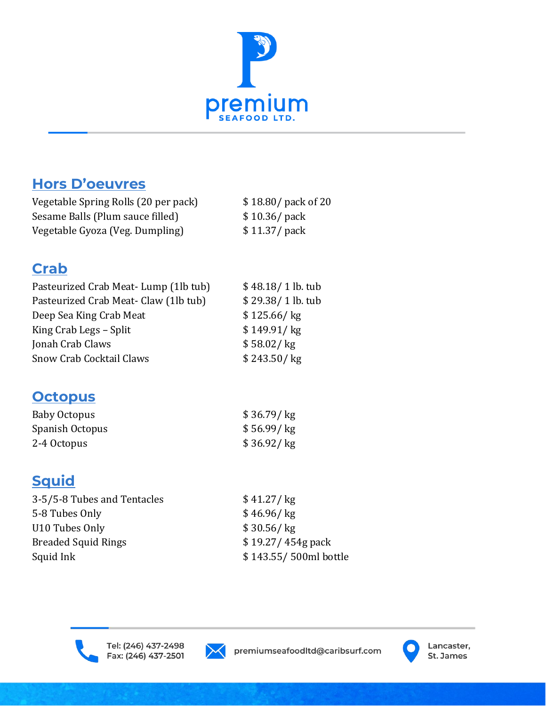

## **Hors D'oeuvres**

Vegetable Spring Rolls (20 per pack) \$ 18.80/ pack of 20 Sesame Balls (Plum sauce filled) \$10.36/ pack Vegetable Gyoza (Veg. Dumpling) \$11.37/ pack

## **Crab**

| Pasteurized Crab Meat-Lump (1lb tub)  | \$48.18/1 lb. tub   |
|---------------------------------------|---------------------|
| Pasteurized Crab Meat- Claw (1lb tub) | \$29.38/1 lb. tub   |
| Deep Sea King Crab Meat               | \$125.66 / kg       |
| King Crab Legs - Split                | $$149.91/\text{kg}$ |
| Jonah Crab Claws                      | \$58.02/kg          |
| <b>Snow Crab Cocktail Claws</b>       | \$243.50 / kg       |
|                                       |                     |

### **Octopus**

| Baby Octopus    | $$36.79/\text{kg}$ |
|-----------------|--------------------|
| Spanish Octopus | \$56.99/kg         |
| 2-4 Octopus     | $$36.92/\text{kg}$ |

# **Squid**

| 3-5/5-8 Tubes and Tentacles | \$41.27/kg            |
|-----------------------------|-----------------------|
| 5-8 Tubes Only              | \$46.96 / kg          |
| U10 Tubes Only              | \$30.56 / kg          |
| <b>Breaded Squid Rings</b>  | $$19.27/454g$ pack    |
| Squid Ink                   | \$143.55/500ml bottle |
|                             |                       |





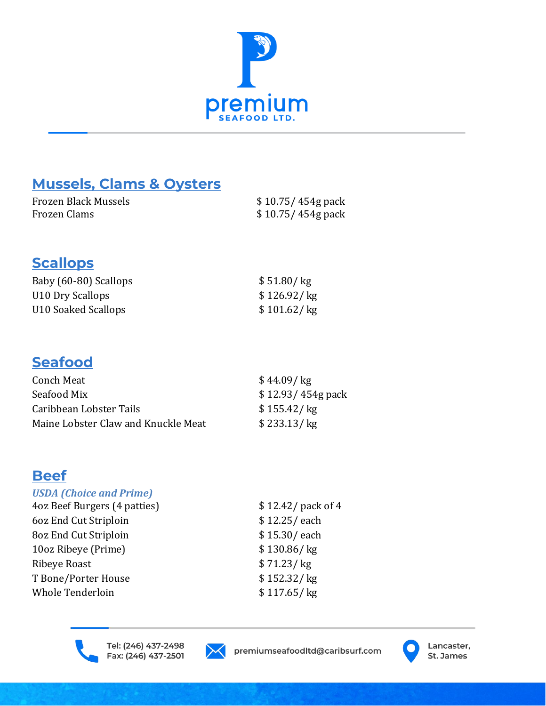

# **Mussels, Clams & Oysters**

| Frozen Black Mussels | \$10.75/454g pack |
|----------------------|-------------------|
| Frozen Clams         | \$10.75/454g pack |

### **Scallops**

| Baby (60-80) Scallops | $$51.80/\text{kg}$ |
|-----------------------|--------------------|
| U10 Dry Scallops      | \$126.92 / kg      |
| U10 Soaked Scallops   | \$101.62 / kg      |

### **Seafood**

| Conch Meat                          | \$44.09 / kg       |
|-------------------------------------|--------------------|
| Seafood Mix                         | $$12.93/454g$ pack |
| Caribbean Lobster Tails             | \$155.42 / kg      |
| Maine Lobster Claw and Knuckle Meat | \$233.13 / kg      |

# **Beef**

#### *USDA (Choice and Prime)*

| 4oz Beef Burgers (4 patties) | \$12.42/ pack of 4 |
|------------------------------|--------------------|
| 60z End Cut Striploin        | \$12.25/each       |
| 80z End Cut Striploin        | \$15.30/each       |
| 10oz Ribeye (Prime)          | \$130.86 / kg      |
| Ribeye Roast                 | \$71.23/kg         |
| T Bone/Porter House          | \$152.32 / kg      |
| Whole Tenderloin             | \$117.65 / kg      |
|                              |                    |





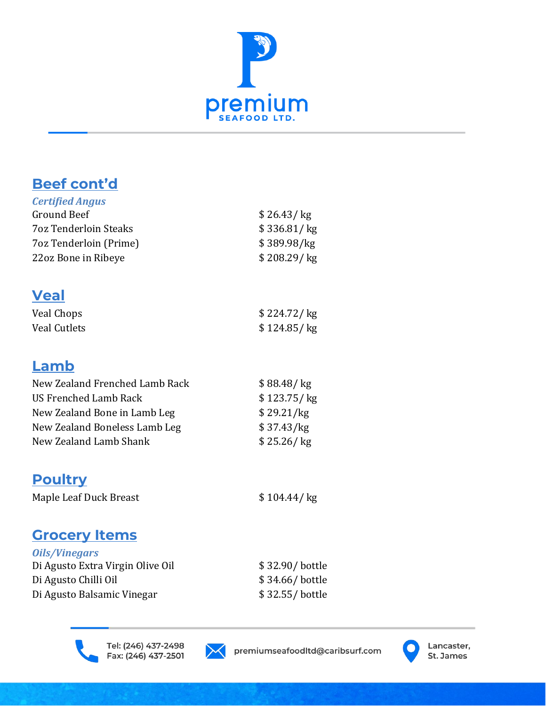

# **Beef cont'd**

| <b>Certified Angus</b>       |               |
|------------------------------|---------------|
| Ground Beef                  | \$26.43/kg    |
| <b>70z Tenderloin Steaks</b> | \$336.81/kg   |
| 7oz Tenderloin (Prime)       | \$389.98/kg   |
| 22oz Bone in Ribeye          | \$208.29 / kg |
|                              |               |

#### **Veal**

| Veal Chops   | \$224.72/kg   |
|--------------|---------------|
| Veal Cutlets | \$124.85 / kg |

### **Lamb**

| New Zealand Frenched Lamb Rack | \$88.48 / kg  |
|--------------------------------|---------------|
| US Frenched Lamb Rack          | \$123.75 / kg |
| New Zealand Bone in Lamb Leg   | \$29.21/kg    |
| New Zealand Boneless Lamb Leg  | \$37.43/kg    |
| New Zealand Lamb Shank         | \$25.26/kg    |
|                                |               |

# **Poultry**

Maple Leaf Duck Breast \$ 104.44/ kg

# **Grocery Items**

| \$32.90/bottle |
|----------------|
| \$34.66/bottle |
| \$32.55/bottle |
|                |



Tel: (246) 437-2498 Fax: (246) 437-2501



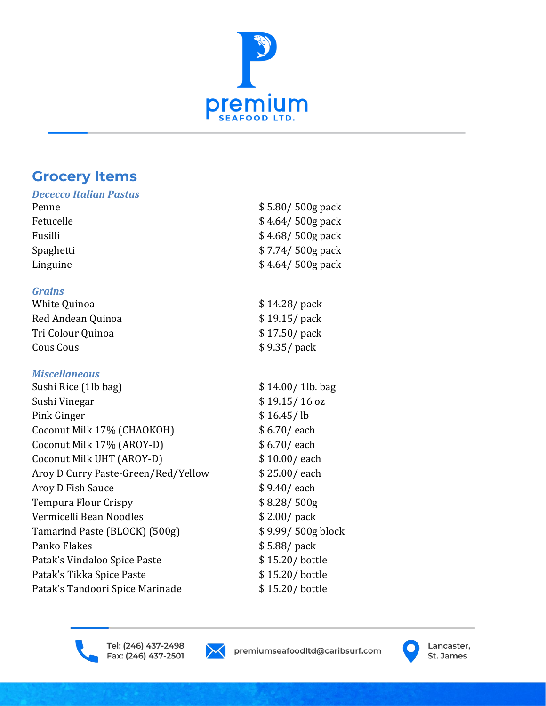

#### **Grocery Items**

| <b>Dececco Italian Pastas</b> |                   |
|-------------------------------|-------------------|
| Penne                         | $$5.80/500g$ pack |
| Fetucelle                     | $$4.64/500g$ pack |
| Fusilli                       | $$4.68/500g$ pack |
| Spaghetti                     | $$7.74/500g$ pack |
| Linguine                      | $$4.64/500g$ pack |
| <b>Grains</b>                 |                   |
| White Quinoa                  | \$14.28/pack      |
| Red Andean Quinoa             | \$19.15/pack      |
| Tri Colour Quinoa             | \$17.50/pack      |
| Cous Cous                     | \$9.35/pack       |

#### *Miscellaneous*

| Sushi Rice (1lb bag)                | \$14.00/1lb. bag  |
|-------------------------------------|-------------------|
| Sushi Vinegar                       | $$19.15/16$ oz    |
| Pink Ginger                         | \$16.45/lb        |
| Coconut Milk 17% (CHAOKOH)          | \$6.70/each       |
| Coconut Milk 17% (AROY-D)           | \$6.70/each       |
| Coconut Milk UHT (AROY-D)           | \$10.00/each      |
| Aroy D Curry Paste-Green/Red/Yellow | \$25.00/each      |
| Aroy D Fish Sauce                   | \$9.40/each       |
| <b>Tempura Flour Crispy</b>         | \$8.28/500g       |
| Vermicelli Bean Noodles             | \$2.00/pack       |
| Tamarind Paste (BLOCK) (500g)       | \$9.99/500g block |
| Panko Flakes                        | \$5.88/pack       |
| Patak's Vindaloo Spice Paste        | \$15.20/bottle    |
| Patak's Tikka Spice Paste           | \$15.20/bottle    |
| Patak's Tandoori Spice Marinade     | \$15.20/bottle    |
|                                     |                   |



Tel: (246) 437-2498 Fax: (246) 437-2501